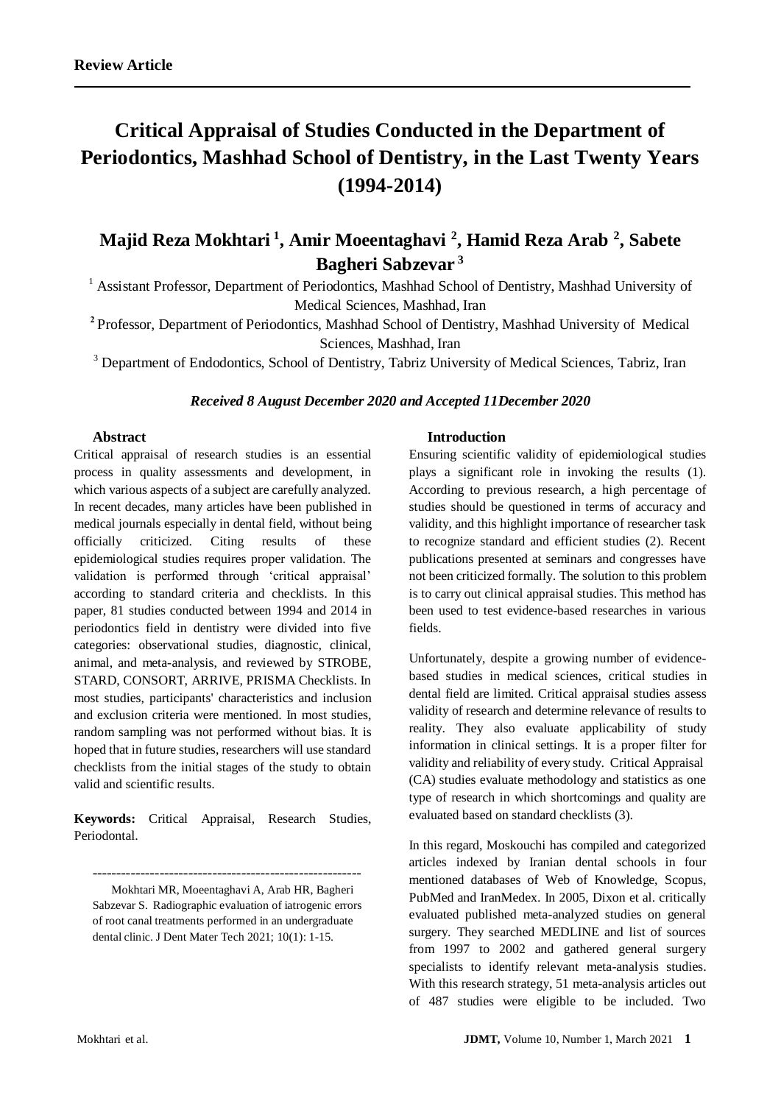# **Critical Appraisal of Studies Conducted in the Department of Periodontics, Mashhad School of Dentistry, in the Last Twenty Years (1994-2014)**

# **Majid Reza Mokhtari <sup>1</sup> , Amir Moeentaghavi <sup>2</sup> , Hamid Reza Arab <sup>2</sup> , Sabete Bagheri Sabzevar <sup>3</sup>**

<sup>1</sup> Assistant Professor, Department of Periodontics, Mashhad School of Dentistry, Mashhad University of Medical Sciences, Mashhad, Iran

<sup>2</sup> Professor, Department of Periodontics, Mashhad School of Dentistry, Mashhad University of Medical Sciences, Mashhad, Iran

<sup>3</sup> Department of Endodontics, School of Dentistry, Tabriz University of Medical Sciences, Tabriz, Iran

# *Received 8 August December 2020 and Accepted 11December 2020*

# **Abstract**

Critical appraisal of research studies is an essential process in quality assessments and development, in which various aspects of a subject are carefully analyzed. In recent decades, many articles have been published in medical journals especially in dental field, without being officially criticized. Citing results of these epidemiological studies requires proper validation. The validation is performed through 'critical appraisal' according to standard criteria and checklists. In this paper, 81 studies conducted between 1994 and 2014 in periodontics field in dentistry were divided into five categories: observational studies, diagnostic, clinical, animal, and meta-analysis, and reviewed by STROBE, STARD, CONSORT, ARRIVE, PRISMA Checklists. In most studies, participants' characteristics and inclusion and exclusion criteria were mentioned. In most studies, random sampling was not performed without bias. It is hoped that in future studies, researchers will use standard checklists from the initial stages of the study to obtain valid and scientific results.

**Keywords:** Critical Appraisal, Research Studies, Periodontal.

--------------------------------------------------------

#### **Introduction**

Ensuring scientific validity of epidemiological studies plays a significant role in invoking the results (1). According to previous research, a high percentage of studies should be questioned in terms of accuracy and validity, and this highlight importance of researcher task to recognize standard and efficient studies (2). Recent publications presented at seminars and congresses have not been criticized formally. The solution to this problem is to carry out clinical appraisal studies. This method has been used to test evidence-based researches in various fields.

Unfortunately, despite a growing number of evidencebased studies in medical sciences, critical studies in dental field are limited. Critical appraisal studies assess validity of research and determine relevance of results to reality. They also evaluate applicability of study information in clinical settings. It is a proper filter for validity and reliability of every study. Critical Appraisal (CA) studies evaluate methodology and statistics as one type of research in which shortcomings and quality are evaluated based on standard checklists (3).

In this regard, Moskouchi has compiled and categorized articles indexed by Iranian dental schools in four mentioned databases of Web of Knowledge, Scopus, PubMed and IranMedex. In 2005, Dixon et al. critically evaluated published meta-analyzed studies on general surgery. They searched MEDLINE and list of sources from 1997 to 2002 and gathered general surgery specialists to identify relevant meta-analysis studies. With this research strategy, 51 meta-analysis articles out of 487 studies were eligible to be included. Two

Mokhtari MR, Moeentaghavi A, Arab HR, Bagheri Sabzevar S. Radiographic evaluation of iatrogenic errors of root canal treatments performed in an undergraduate dental clinic. J Dent Mater Tech 2021; 10(1): 1-15.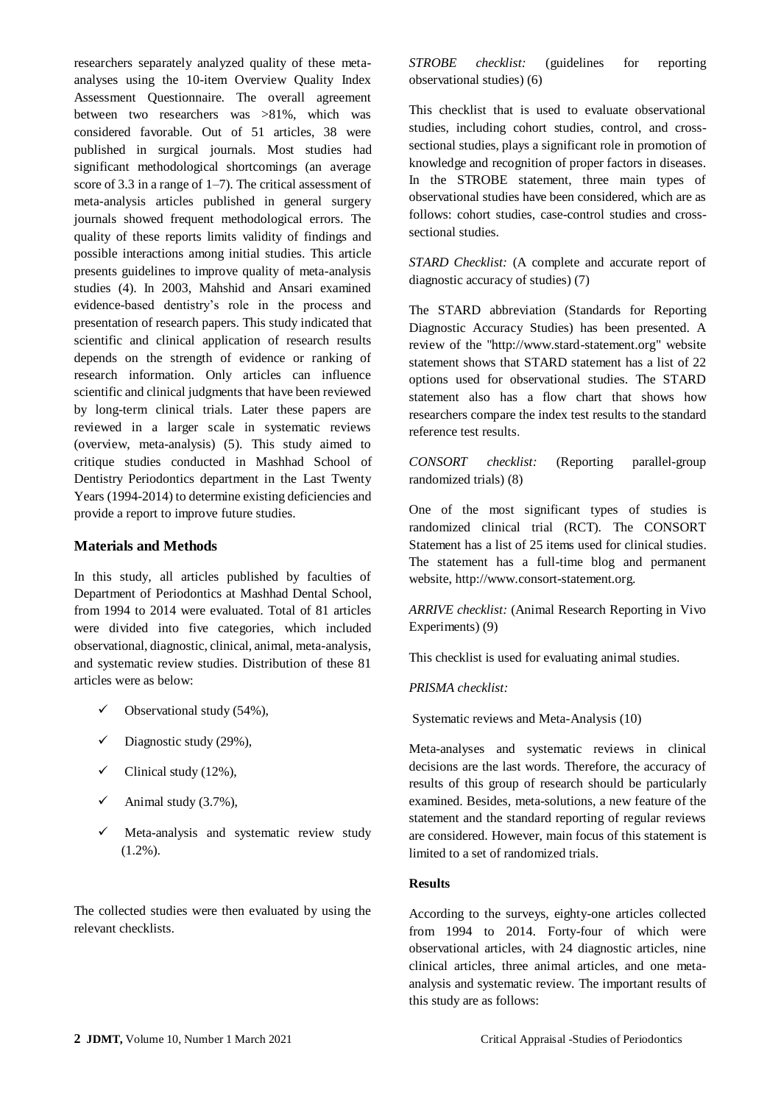researchers separately analyzed quality of these metaanalyses using the 10-item Overview Quality Index Assessment Questionnaire. The overall agreement between two researchers was >81%, which was considered favorable. Out of 51 articles, 38 were published in surgical journals. Most studies had significant methodological shortcomings (an average score of 3.3 in a range of 1–7). The critical assessment of meta-analysis articles published in general surgery journals showed frequent methodological errors. The quality of these reports limits validity of findings and possible interactions among initial studies. This article presents guidelines to improve quality of meta-analysis studies (4). In 2003, Mahshid and Ansari examined evidence-based dentistry's role in the process and presentation of research papers. This study indicated that scientific and clinical application of research results depends on the strength of evidence or ranking of research information. Only articles can influence scientific and clinical judgments that have been reviewed by long-term clinical trials. Later these papers are reviewed in a larger scale in systematic reviews (overview, meta-analysis) (5). This study aimed to critique studies conducted in Mashhad School of Dentistry Periodontics department in the Last Twenty Years (1994-2014) to determine existing deficiencies and provide a report to improve future studies.

#### **Materials and Methods**

In this study, all articles published by faculties of Department of Periodontics at Mashhad Dental School, from 1994 to 2014 were evaluated. Total of 81 articles were divided into five categories, which included observational, diagnostic, clinical, animal, meta-analysis, and systematic review studies. Distribution of these 81 articles were as below:

- Observational study (54%),
- Diagnostic study (29%),
- $\checkmark$  Clinical study (12%),
- Animal study (3.7%),
- $\checkmark$  Meta-analysis and systematic review study (1.2%).

The collected studies were then evaluated by using the relevant checklists.

*STROBE checklist:* (guidelines for reporting observational studies) (6)

This checklist that is used to evaluate observational studies, including cohort studies, control, and crosssectional studies, plays a significant role in promotion of knowledge and recognition of proper factors in diseases. In the STROBE statement, three main types of observational studies have been considered, which are as follows: cohort studies, case-control studies and crosssectional studies.

*STARD Checklist:* (A complete and accurate report of diagnostic accuracy of studies) (7)

The STARD abbreviation (Standards for Reporting Diagnostic Accuracy Studies) has been presented. A review of the "http://www.stard-statement.org" website statement shows that STARD statement has a list of 22 options used for observational studies. The STARD statement also has a flow chart that shows how researchers compare the index test results to the standard reference test results.

*CONSORT checklist:* (Reporting parallel-group randomized trials) (8)

One of the most significant types of studies is randomized clinical trial (RCT). The CONSORT Statement has a list of 25 items used for clinical studies. The statement has a full-time blog and permanent website, [http://www.consort-statement.org.](http://www.consort-statement.org/)

*ARRIVE checklist:* (Animal Research Reporting in Vivo Experiments) (9)

This checklist is used for evaluating animal studies.

*PRISMA checklist:*

Systematic reviews and Meta-Analysis (10)

Meta-analyses and systematic reviews in clinical decisions are the last words. Therefore, the accuracy of results of this group of research should be particularly examined. Besides, meta-solutions, a new feature of the statement and the standard reporting of regular reviews are considered. However, main focus of this statement is limited to a set of randomized trials.

#### **Results**

According to the surveys, eighty-one articles collected from 1994 to 2014. Forty-four of which were observational articles, with 24 diagnostic articles, nine clinical articles, three animal articles, and one metaanalysis and systematic review. The important results of this study are as follows: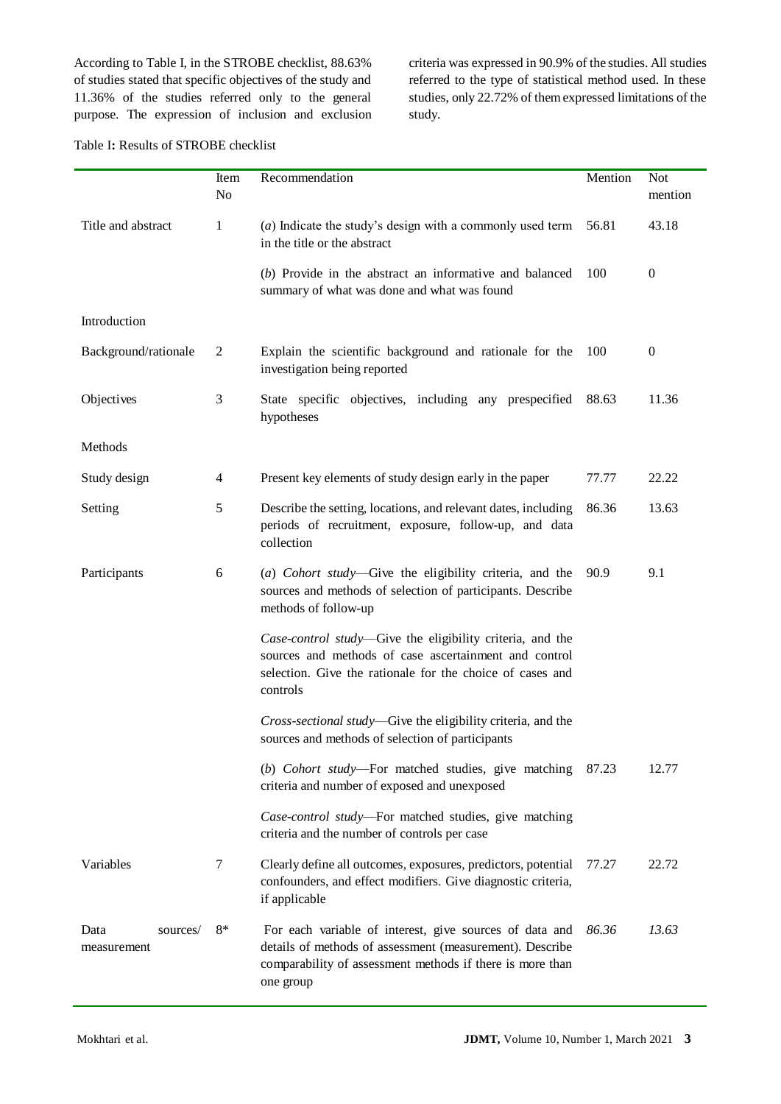According to Table I, in the STROBE checklist, 88.63% of studies stated that specific objectives of the study and 11.36% of the studies referred only to the general purpose. The expression of inclusion and exclusion criteria was expressed in 90.9% of the studies. All studies referred to the type of statistical method used. In these studies, only 22.72% of them expressed limitations of the study.

Table I**:** Results of STROBE checklist

|                                 | Item<br>No     | Recommendation                                                                                                                                                                                | Mention | <b>Not</b><br>mention |
|---------------------------------|----------------|-----------------------------------------------------------------------------------------------------------------------------------------------------------------------------------------------|---------|-----------------------|
| Title and abstract              | 1              | (a) Indicate the study's design with a commonly used term<br>in the title or the abstract                                                                                                     | 56.81   | 43.18                 |
|                                 |                | (b) Provide in the abstract an informative and balanced<br>summary of what was done and what was found                                                                                        | 100     | $\boldsymbol{0}$      |
| Introduction                    |                |                                                                                                                                                                                               |         |                       |
| Background/rationale            | $\overline{2}$ | Explain the scientific background and rationale for the<br>investigation being reported                                                                                                       | 100     | $\boldsymbol{0}$      |
| Objectives                      | 3              | State specific objectives, including any prespecified<br>hypotheses                                                                                                                           | 88.63   | 11.36                 |
| Methods                         |                |                                                                                                                                                                                               |         |                       |
| Study design                    | 4              | Present key elements of study design early in the paper                                                                                                                                       | 77.77   | 22.22                 |
| Setting                         | 5              | Describe the setting, locations, and relevant dates, including<br>periods of recruitment, exposure, follow-up, and data<br>collection                                                         | 86.36   | 13.63                 |
| Participants                    | 6              | (a) Cohort study—Give the eligibility criteria, and the<br>sources and methods of selection of participants. Describe<br>methods of follow-up                                                 | 90.9    | 9.1                   |
|                                 |                | Case-control study—Give the eligibility criteria, and the<br>sources and methods of case ascertainment and control<br>selection. Give the rationale for the choice of cases and<br>controls   |         |                       |
|                                 |                | Cross-sectional study-Give the eligibility criteria, and the<br>sources and methods of selection of participants                                                                              |         |                       |
|                                 |                | (b) Cohort study-For matched studies, give matching<br>criteria and number of exposed and unexposed                                                                                           | 87.23   | 12.77                 |
|                                 |                | Case-control study-For matched studies, give matching<br>criteria and the number of controls per case                                                                                         |         |                       |
| Variables                       | 7              | Clearly define all outcomes, exposures, predictors, potential<br>confounders, and effect modifiers. Give diagnostic criteria,<br>if applicable                                                | 77.27   | 22.72                 |
| Data<br>sources/<br>measurement | $8*$           | For each variable of interest, give sources of data and<br>details of methods of assessment (measurement). Describe<br>comparability of assessment methods if there is more than<br>one group | 86.36   | 13.63                 |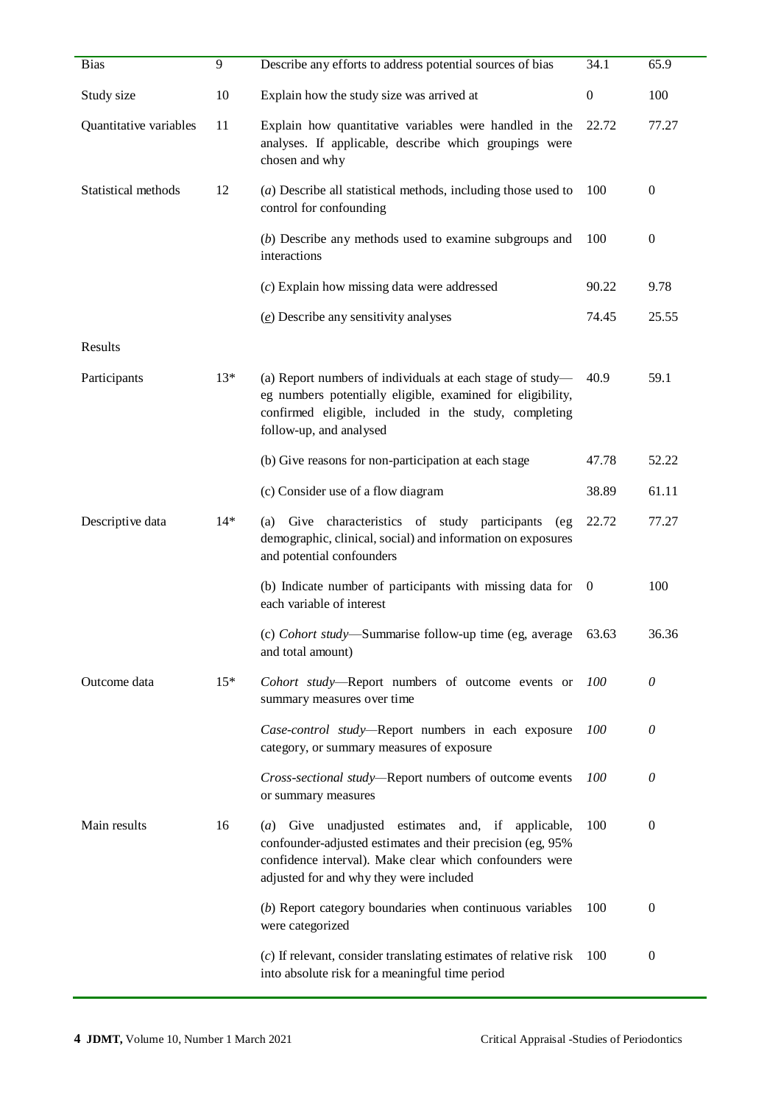| <b>Bias</b>            | 9     | Describe any efforts to address potential sources of bias                                                                                                                                                             | 34.1             | 65.9             |
|------------------------|-------|-----------------------------------------------------------------------------------------------------------------------------------------------------------------------------------------------------------------------|------------------|------------------|
| Study size             | 10    | Explain how the study size was arrived at                                                                                                                                                                             | $\boldsymbol{0}$ | 100              |
| Quantitative variables | 11    | Explain how quantitative variables were handled in the<br>analyses. If applicable, describe which groupings were<br>chosen and why                                                                                    | 22.72            | 77.27            |
| Statistical methods    | 12    | $(a)$ Describe all statistical methods, including those used to<br>control for confounding                                                                                                                            | 100              | $\boldsymbol{0}$ |
|                        |       | (b) Describe any methods used to examine subgroups and<br>interactions                                                                                                                                                | 100              | $\boldsymbol{0}$ |
|                        |       | $(c)$ Explain how missing data were addressed                                                                                                                                                                         | 90.22            | 9.78             |
|                        |       | $(e)$ Describe any sensitivity analyses                                                                                                                                                                               | 74.45            | 25.55            |
| Results                |       |                                                                                                                                                                                                                       |                  |                  |
| Participants           | $13*$ | (a) Report numbers of individuals at each stage of study—<br>eg numbers potentially eligible, examined for eligibility,<br>confirmed eligible, included in the study, completing<br>follow-up, and analysed           | 40.9             | 59.1             |
|                        |       | (b) Give reasons for non-participation at each stage                                                                                                                                                                  | 47.78            | 52.22            |
|                        |       | (c) Consider use of a flow diagram                                                                                                                                                                                    | 38.89            | 61.11            |
| Descriptive data       | $14*$ | (a) Give characteristics of study participants<br>(eg)<br>demographic, clinical, social) and information on exposures<br>and potential confounders                                                                    | 22.72            | 77.27            |
|                        |       | (b) Indicate number of participants with missing data for 0<br>each variable of interest                                                                                                                              |                  | 100              |
|                        |       | (c) Cohort study—Summarise follow-up time (eg, average<br>and total amount)                                                                                                                                           | 63.63            | 36.36            |
| Outcome data           | $15*$ | Cohort study-Report numbers of outcome events or<br>summary measures over time                                                                                                                                        | 100              | $\theta$         |
|                        |       | Case-control study-Report numbers in each exposure<br>category, or summary measures of exposure                                                                                                                       | 100              | 0                |
|                        |       | Cross-sectional study-Report numbers of outcome events<br>or summary measures                                                                                                                                         | 100              | 0                |
| Main results           | 16    | (a) Give unadjusted estimates and, if applicable,<br>confounder-adjusted estimates and their precision (eg, 95%<br>confidence interval). Make clear which confounders were<br>adjusted for and why they were included | 100              | $\boldsymbol{0}$ |
|                        |       | (b) Report category boundaries when continuous variables<br>were categorized                                                                                                                                          | 100              | $\boldsymbol{0}$ |
|                        |       | (c) If relevant, consider translating estimates of relative risk<br>into absolute risk for a meaningful time period                                                                                                   | 100              | $\mathbf{0}$     |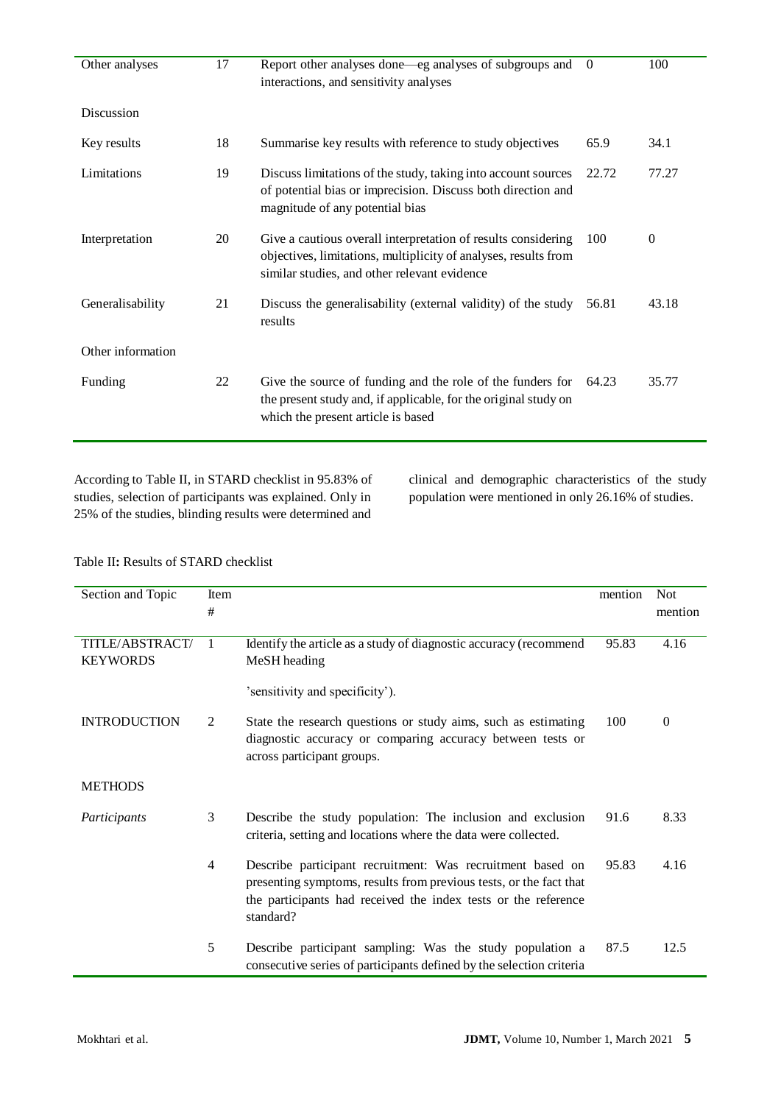| Other analyses    | 17 | Report other analyses done—eg analyses of subgroups and<br>interactions, and sensitivity analyses                                                                                | $\theta$ | 100            |
|-------------------|----|----------------------------------------------------------------------------------------------------------------------------------------------------------------------------------|----------|----------------|
| Discussion        |    |                                                                                                                                                                                  |          |                |
| Key results       | 18 | Summarise key results with reference to study objectives                                                                                                                         | 65.9     | 34.1           |
| Limitations       | 19 | Discuss limitations of the study, taking into account sources<br>of potential bias or imprecision. Discuss both direction and<br>magnitude of any potential bias                 | 22.72    | 77.27          |
| Interpretation    | 20 | Give a cautious overall interpretation of results considering<br>objectives, limitations, multiplicity of analyses, results from<br>similar studies, and other relevant evidence | 100      | $\overline{0}$ |
| Generalisability  | 21 | Discuss the generalisability (external validity) of the study<br>results                                                                                                         | 56.81    | 43.18          |
| Other information |    |                                                                                                                                                                                  |          |                |
| Funding           | 22 | Give the source of funding and the role of the funders for<br>the present study and, if applicable, for the original study on<br>which the present article is based              | 64.23    | 35.77          |

According to Table II, in STARD checklist in 95.83% of studies, selection of participants was explained. Only in 25% of the studies, blinding results were determined and

clinical and demographic characteristics of the study population were mentioned in only 26.16% of studies.

| Section and Topic                  | Item<br>#      |                                                                                                                                                                                                                 | mention | <b>Not</b><br>mention |
|------------------------------------|----------------|-----------------------------------------------------------------------------------------------------------------------------------------------------------------------------------------------------------------|---------|-----------------------|
| TITLE/ABSTRACT/<br><b>KEYWORDS</b> | -1             | Identify the article as a study of diagnostic accuracy (recommend<br>MeSH heading                                                                                                                               | 95.83   | 4.16                  |
|                                    |                | 's ensitivity and specificity').                                                                                                                                                                                |         |                       |
| <b>INTRODUCTION</b>                | 2              | State the research questions or study aims, such as estimating<br>diagnostic accuracy or comparing accuracy between tests or<br>across participant groups.                                                      | 100     | $\overline{0}$        |
| <b>METHODS</b>                     |                |                                                                                                                                                                                                                 |         |                       |
| Participants                       | 3              | Describe the study population: The inclusion and exclusion<br>criteria, setting and locations where the data were collected.                                                                                    | 91.6    | 8.33                  |
|                                    | $\overline{4}$ | Describe participant recruitment: Was recruitment based on<br>presenting symptoms, results from previous tests, or the fact that<br>the participants had received the index tests or the reference<br>standard? | 95.83   | 4.16                  |
|                                    | 5              | Describe participant sampling: Was the study population a<br>consecutive series of participants defined by the selection criteria                                                                               | 87.5    | 12.5                  |

Table II**:** Results of STARD checklist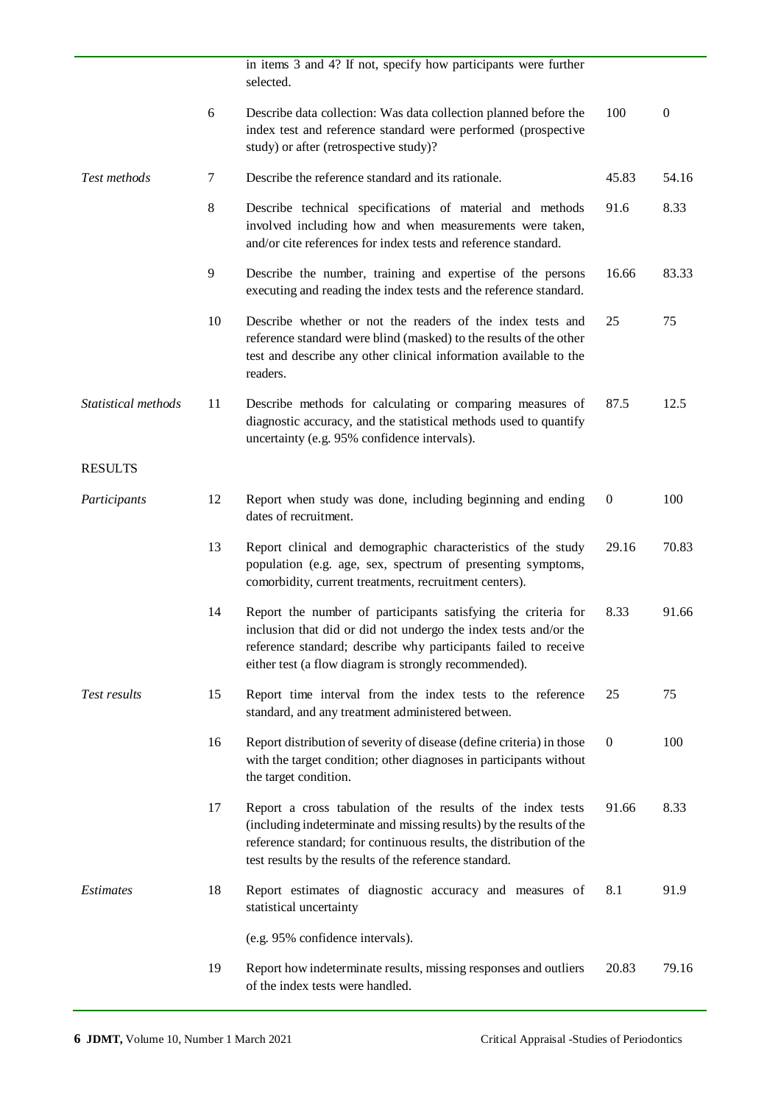|                     |       | in items 3 and 4? If not, specify how participants were further<br>selected.                                                                                                                                                                                        |                  |                  |
|---------------------|-------|---------------------------------------------------------------------------------------------------------------------------------------------------------------------------------------------------------------------------------------------------------------------|------------------|------------------|
|                     | 6     | Describe data collection: Was data collection planned before the<br>index test and reference standard were performed (prospective<br>study) or after (retrospective study)?                                                                                         | 100              | $\boldsymbol{0}$ |
| Test methods        | 7     | Describe the reference standard and its rationale.                                                                                                                                                                                                                  | 45.83            | 54.16            |
|                     | $8\,$ | Describe technical specifications of material and methods<br>involved including how and when measurements were taken,<br>and/or cite references for index tests and reference standard.                                                                             | 91.6             | 8.33             |
|                     | 9     | Describe the number, training and expertise of the persons<br>executing and reading the index tests and the reference standard.                                                                                                                                     | 16.66            | 83.33            |
|                     | 10    | Describe whether or not the readers of the index tests and<br>reference standard were blind (masked) to the results of the other<br>test and describe any other clinical information available to the<br>readers.                                                   | 25               | 75               |
| Statistical methods | 11    | Describe methods for calculating or comparing measures of<br>diagnostic accuracy, and the statistical methods used to quantify<br>uncertainty (e.g. 95% confidence intervals).                                                                                      | 87.5             | 12.5             |
| <b>RESULTS</b>      |       |                                                                                                                                                                                                                                                                     |                  |                  |
| Participants        | 12    | Report when study was done, including beginning and ending<br>dates of recruitment.                                                                                                                                                                                 | $\boldsymbol{0}$ | 100              |
|                     | 13    | Report clinical and demographic characteristics of the study<br>population (e.g. age, sex, spectrum of presenting symptoms,<br>comorbidity, current treatments, recruitment centers).                                                                               | 29.16            | 70.83            |
|                     | 14    | Report the number of participants satisfying the criteria for<br>inclusion that did or did not undergo the index tests and/or the<br>reference standard; describe why participants failed to receive<br>either test (a flow diagram is strongly recommended).       | 8.33             | 91.66            |
| Test results        | 15    | Report time interval from the index tests to the reference<br>standard, and any treatment administered between.                                                                                                                                                     | 25               | 75               |
|                     | 16    | Report distribution of severity of disease (define criteria) in those<br>with the target condition; other diagnoses in participants without<br>the target condition.                                                                                                | $\boldsymbol{0}$ | 100              |
|                     | 17    | Report a cross tabulation of the results of the index tests<br>(including indeterminate and missing results) by the results of the<br>reference standard; for continuous results, the distribution of the<br>test results by the results of the reference standard. | 91.66            | 8.33             |
| Estimates           | 18    | Report estimates of diagnostic accuracy and measures of<br>statistical uncertainty                                                                                                                                                                                  | 8.1              | 91.9             |
|                     |       | (e.g. 95% confidence intervals).                                                                                                                                                                                                                                    |                  |                  |
|                     | 19    | Report how indeterminate results, missing responses and outliers<br>of the index tests were handled.                                                                                                                                                                | 20.83            | 79.16            |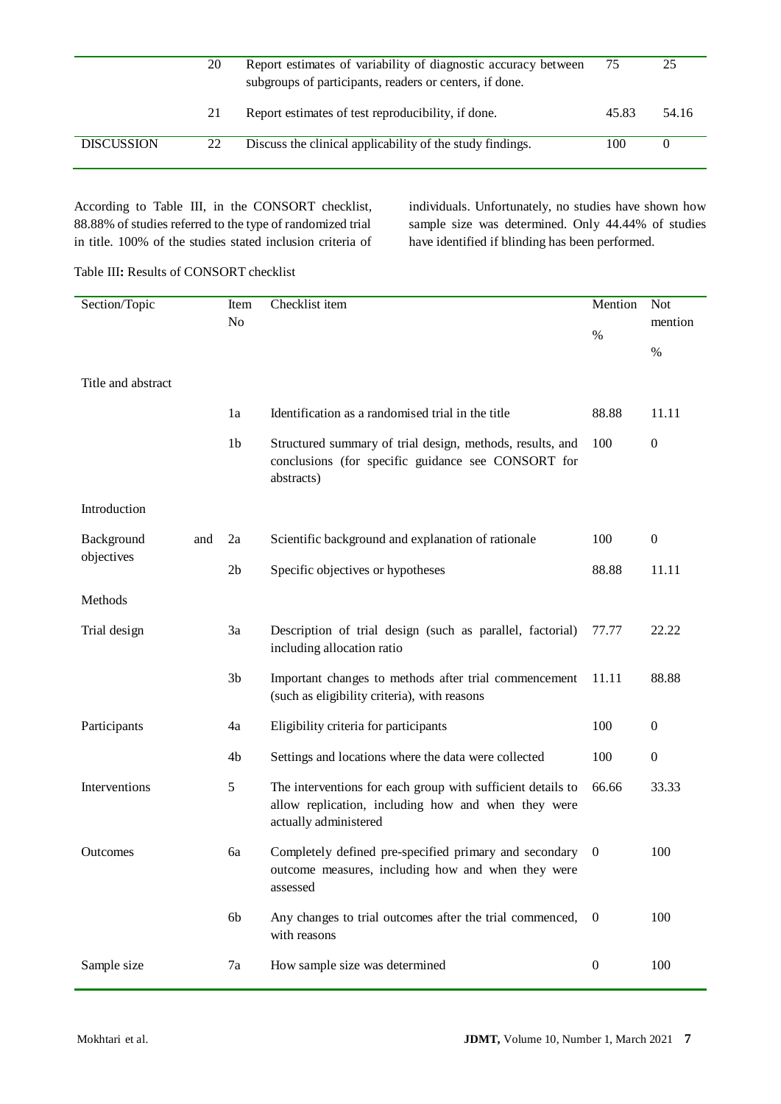|                   | 20 | Report estimates of variability of diagnostic accuracy between<br>subgroups of participants, readers or centers, if done. | 75    | 25    |
|-------------------|----|---------------------------------------------------------------------------------------------------------------------------|-------|-------|
|                   | 21 | Report estimates of test reproducibility, if done.                                                                        | 45.83 | 54.16 |
| <b>DISCUSSION</b> | 22 | Discuss the clinical applicability of the study findings.                                                                 | 100   |       |

According to Table III, in the CONSORT checklist, 88.88% of studies referred to the type of randomized trial in title. 100% of the studies stated inclusion criteria of individuals. Unfortunately, no studies have shown how sample size was determined. Only 44.44% of studies have identified if blinding has been performed.

Table III**:** Results of CONSORT checklist

| Section/Topic            |     | Item<br>N <sub>0</sub> | Checklist item                                                                                                                              | Mention          | <b>Not</b><br>mention |
|--------------------------|-----|------------------------|---------------------------------------------------------------------------------------------------------------------------------------------|------------------|-----------------------|
|                          |     |                        |                                                                                                                                             | $\%$             | $\%$                  |
| Title and abstract       |     |                        |                                                                                                                                             |                  |                       |
|                          |     | 1a                     | Identification as a randomised trial in the title                                                                                           | 88.88            | 11.11                 |
|                          |     | 1 <sub>b</sub>         | Structured summary of trial design, methods, results, and<br>conclusions (for specific guidance see CONSORT for<br>abstracts)               | 100              | $\boldsymbol{0}$      |
| Introduction             |     |                        |                                                                                                                                             |                  |                       |
| Background<br>objectives | and | 2a                     | Scientific background and explanation of rationale                                                                                          | 100              | $\boldsymbol{0}$      |
|                          |     | 2 <sub>b</sub>         | Specific objectives or hypotheses                                                                                                           | 88.88            | 11.11                 |
| Methods                  |     |                        |                                                                                                                                             |                  |                       |
| Trial design             |     | 3a                     | Description of trial design (such as parallel, factorial)<br>including allocation ratio                                                     | 77.77            | 22.22                 |
|                          |     | 3 <sub>b</sub>         | Important changes to methods after trial commencement<br>(such as eligibility criteria), with reasons                                       | 11.11            | 88.88                 |
| Participants             |     | 4a                     | Eligibility criteria for participants                                                                                                       | 100              | $\boldsymbol{0}$      |
|                          |     | 4b                     | Settings and locations where the data were collected                                                                                        | 100              | $\boldsymbol{0}$      |
| Interventions            |     | 5                      | The interventions for each group with sufficient details to<br>allow replication, including how and when they were<br>actually administered | 66.66            | 33.33                 |
| <b>Outcomes</b>          |     | 6a                     | Completely defined pre-specified primary and secondary<br>outcome measures, including how and when they were<br>assessed                    | $\overline{0}$   | 100                   |
|                          |     | 6b                     | Any changes to trial outcomes after the trial commenced,<br>with reasons                                                                    | $\overline{0}$   | 100                   |
| Sample size              |     | 7a                     | How sample size was determined                                                                                                              | $\boldsymbol{0}$ | 100                   |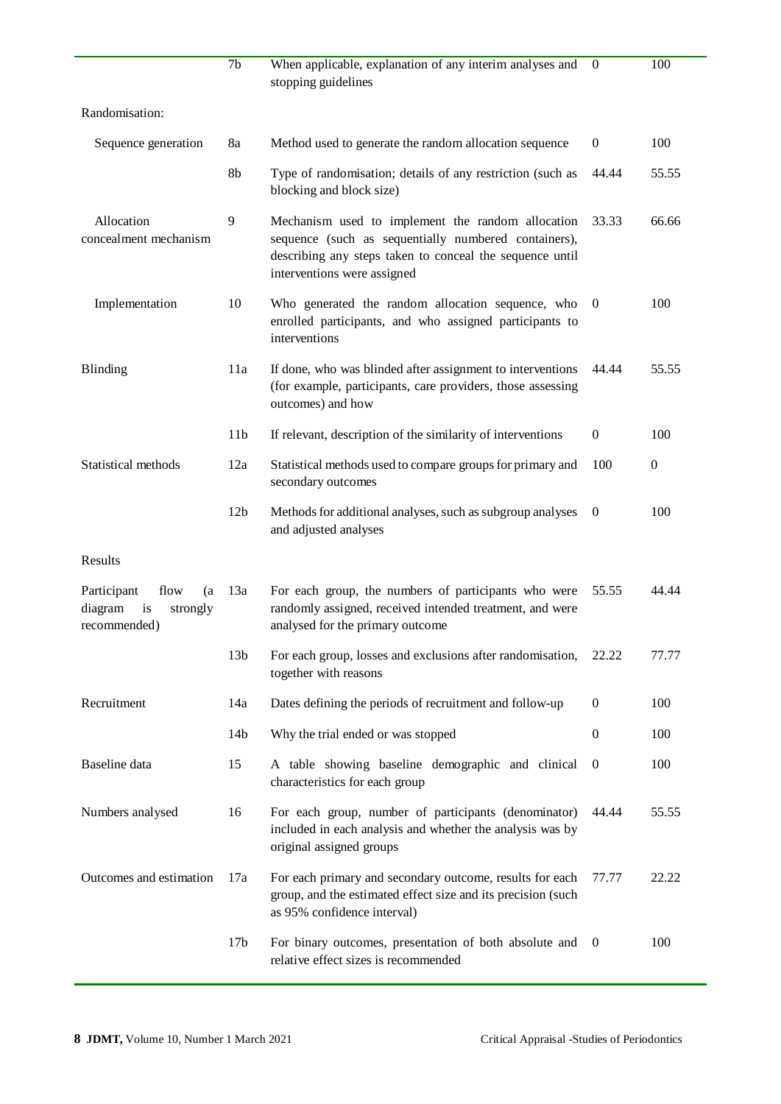|                                                                        | 7b              | When applicable, explanation of any interim analyses and<br>stopping guidelines                                                                                                                      | $\theta$         | 100              |
|------------------------------------------------------------------------|-----------------|------------------------------------------------------------------------------------------------------------------------------------------------------------------------------------------------------|------------------|------------------|
| Randomisation:                                                         |                 |                                                                                                                                                                                                      |                  |                  |
| Sequence generation                                                    | 8a              | Method used to generate the random allocation sequence                                                                                                                                               | $\boldsymbol{0}$ | 100              |
|                                                                        | 8b              | Type of randomisation; details of any restriction (such as<br>blocking and block size)                                                                                                               | 44.44            | 55.55            |
| Allocation<br>concealment mechanism                                    | 9               | Mechanism used to implement the random allocation<br>sequence (such as sequentially numbered containers),<br>describing any steps taken to conceal the sequence until<br>interventions were assigned | 33.33            | 66.66            |
| Implementation                                                         | 10              | Who generated the random allocation sequence, who<br>enrolled participants, and who assigned participants to<br>interventions                                                                        | $\boldsymbol{0}$ | 100              |
| Blinding                                                               | 11a             | If done, who was blinded after assignment to interventions<br>(for example, participants, care providers, those assessing<br>outcomes) and how                                                       | 44.44            | 55.55            |
|                                                                        | 11 <sub>b</sub> | If relevant, description of the similarity of interventions                                                                                                                                          | $\boldsymbol{0}$ | 100              |
| Statistical methods                                                    | 12a             | Statistical methods used to compare groups for primary and<br>secondary outcomes                                                                                                                     | 100              | $\boldsymbol{0}$ |
|                                                                        | 12 <sub>b</sub> | Methods for additional analyses, such as subgroup analyses<br>and adjusted analyses                                                                                                                  | $\theta$         | 100              |
| Results                                                                |                 |                                                                                                                                                                                                      |                  |                  |
| Participant<br>flow<br>(a<br>diagram<br>is<br>strongly<br>recommended) | 13a             | For each group, the numbers of participants who were<br>randomly assigned, received intended treatment, and were<br>analysed for the primary outcome                                                 | 55.55            | 44.44            |
|                                                                        | 13 <sub>b</sub> | For each group, losses and exclusions after randomisation,<br>together with reasons                                                                                                                  | 22.22            | 77.77            |
| Recruitment                                                            | 14a             | Dates defining the periods of recruitment and follow-up                                                                                                                                              | $\overline{0}$   | 100              |
|                                                                        | 14 <sub>b</sub> | Why the trial ended or was stopped                                                                                                                                                                   | $\boldsymbol{0}$ | 100              |
| Baseline data                                                          | 15              | A table showing baseline demographic and clinical<br>characteristics for each group                                                                                                                  | $\overline{0}$   | 100              |
| Numbers analysed                                                       | 16              | For each group, number of participants (denominator)<br>included in each analysis and whether the analysis was by<br>original assigned groups                                                        | 44.44            | 55.55            |
| Outcomes and estimation                                                | 17a             | For each primary and secondary outcome, results for each<br>group, and the estimated effect size and its precision (such<br>as 95% confidence interval)                                              | 77.77            | 22.22            |
|                                                                        | 17 <sub>b</sub> | For binary outcomes, presentation of both absolute and<br>relative effect sizes is recommended                                                                                                       | $\mathbf{0}$     | 100              |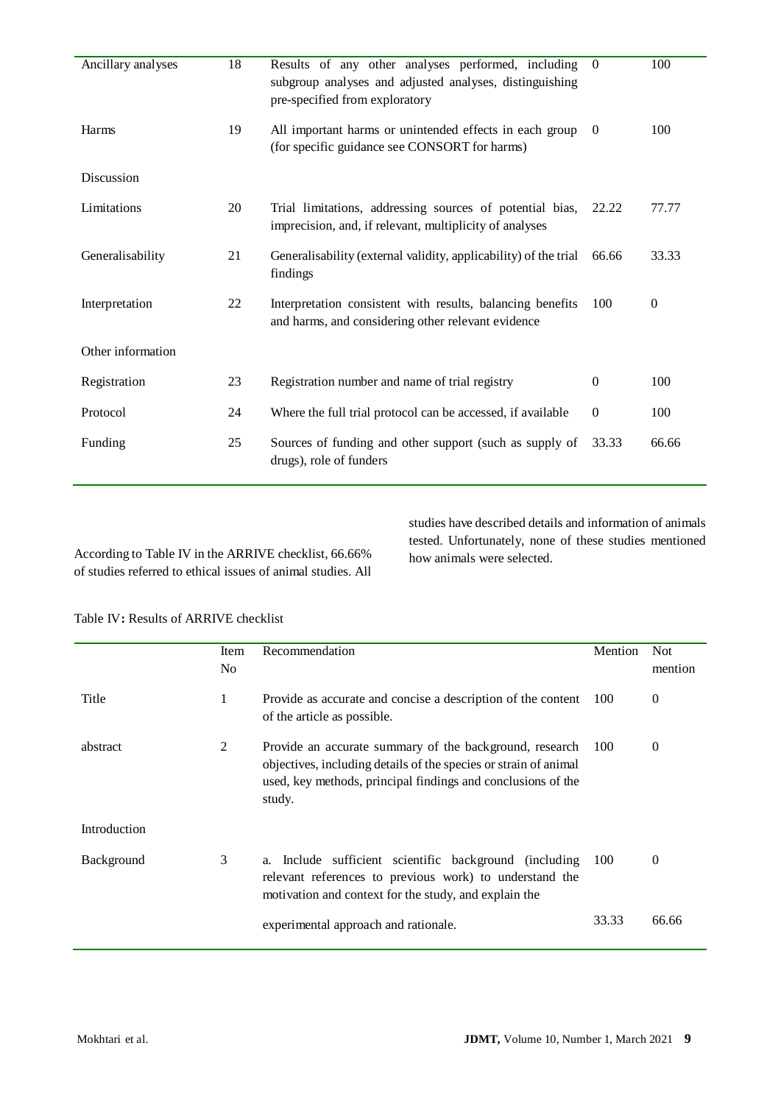| Ancillary analyses | 18 | Results of any other analyses performed, including<br>subgroup analyses and adjusted analyses, distinguishing<br>pre-specified from exploratory | $\Omega$       | 100          |
|--------------------|----|-------------------------------------------------------------------------------------------------------------------------------------------------|----------------|--------------|
| Harms              | 19 | All important harms or unintended effects in each group<br>(for specific guidance see CONSORT for harms)                                        | $\overline{0}$ | 100          |
| Discussion         |    |                                                                                                                                                 |                |              |
| Limitations        | 20 | Trial limitations, addressing sources of potential bias,<br>imprecision, and, if relevant, multiplicity of analyses                             | 22.22          | 77.77        |
| Generalisability   | 21 | Generalisability (external validity, applicability) of the trial<br>findings                                                                    | 66.66          | 33.33        |
| Interpretation     | 22 | Interpretation consistent with results, balancing benefits<br>and harms, and considering other relevant evidence                                | 100            | $\mathbf{0}$ |
| Other information  |    |                                                                                                                                                 |                |              |
| Registration       | 23 | Registration number and name of trial registry                                                                                                  | $\theta$       | 100          |
| Protocol           | 24 | Where the full trial protocol can be accessed, if available                                                                                     | $\theta$       | 100          |
| Funding            | 25 | Sources of funding and other support (such as supply of<br>drugs), role of funders                                                              | 33.33          | 66.66        |

According to Table IV in the ARRIVE checklist, 66.66% of studies referred to ethical issues of animal studies. All studies have described details and information of animals tested. Unfortunately, none of these studies mentioned how animals were selected.

#### Table IV**:** Results of ARRIVE checklist

|              | Item<br>N <sub>0</sub> | Recommendation                                                                                                                                                                                        | Mention        | <b>Not</b><br>mention |
|--------------|------------------------|-------------------------------------------------------------------------------------------------------------------------------------------------------------------------------------------------------|----------------|-----------------------|
| Title        | 1                      | Provide as accurate and concise a description of the content<br>of the article as possible.                                                                                                           | 100            | 0                     |
| abstract     | 2                      | Provide an accurate summary of the background, research<br>objectives, including details of the species or strain of animal<br>used, key methods, principal findings and conclusions of the<br>study. | <sup>100</sup> | 0                     |
| Introduction |                        |                                                                                                                                                                                                       |                |                       |
| Background   | 3                      | a. Include sufficient scientific background (including<br>relevant references to previous work) to understand the<br>motivation and context for the study, and explain the                            | 100            | $\theta$              |
|              |                        | experimental approach and rationale.                                                                                                                                                                  | 33.33          | 66.66                 |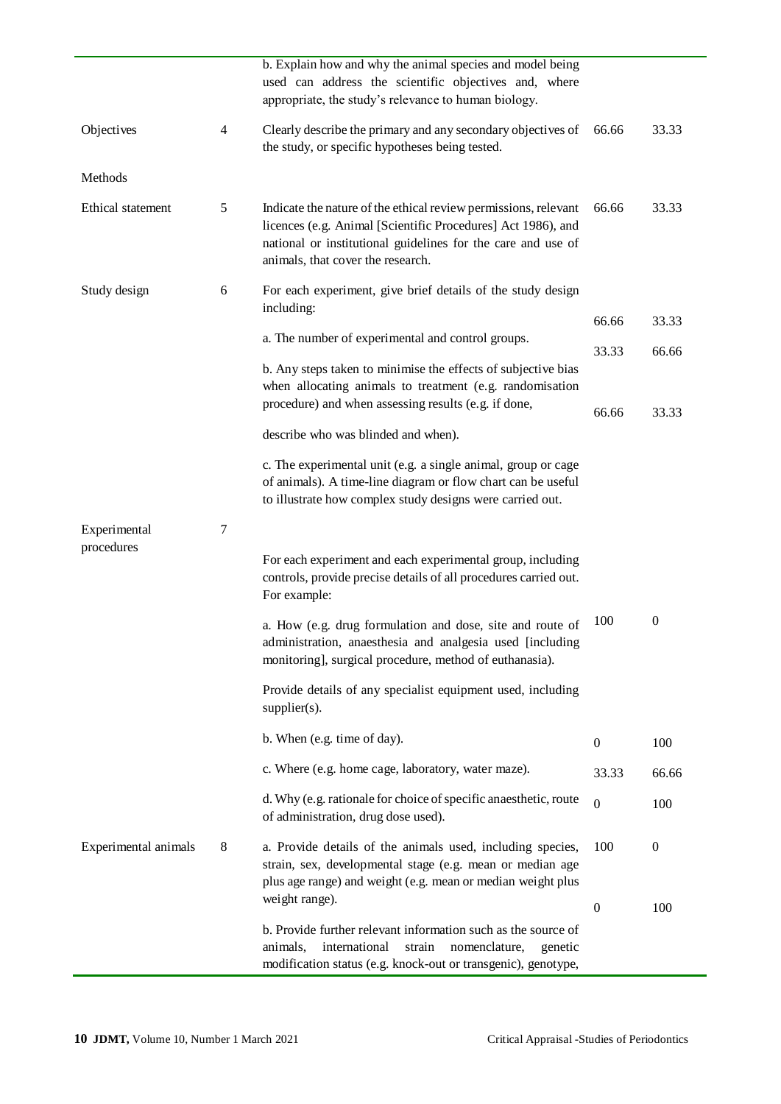|                      |   | b. Explain how and why the animal species and model being<br>used can address the scientific objectives and, where<br>appropriate, the study's relevance to human biology.                                                           |                  |                  |
|----------------------|---|--------------------------------------------------------------------------------------------------------------------------------------------------------------------------------------------------------------------------------------|------------------|------------------|
| Objectives           | 4 | Clearly describe the primary and any secondary objectives of<br>the study, or specific hypotheses being tested.                                                                                                                      | 66.66            | 33.33            |
| Methods              |   |                                                                                                                                                                                                                                      |                  |                  |
| Ethical statement    | 5 | Indicate the nature of the ethical review permissions, relevant<br>licences (e.g. Animal [Scientific Procedures] Act 1986), and<br>national or institutional guidelines for the care and use of<br>animals, that cover the research. | 66.66            | 33.33            |
| Study design         | 6 | For each experiment, give brief details of the study design<br>including:                                                                                                                                                            | 66.66            | 33.33            |
|                      |   | a. The number of experimental and control groups.                                                                                                                                                                                    | 33.33            | 66.66            |
|                      |   | b. Any steps taken to minimise the effects of subjective bias<br>when allocating animals to treatment (e.g. randomisation<br>procedure) and when assessing results (e.g. if done,                                                    |                  |                  |
|                      |   | describe who was blinded and when).                                                                                                                                                                                                  | 66.66            | 33.33            |
|                      |   | c. The experimental unit (e.g. a single animal, group or cage<br>of animals). A time-line diagram or flow chart can be useful<br>to illustrate how complex study designs were carried out.                                           |                  |                  |
| Experimental         | 7 |                                                                                                                                                                                                                                      |                  |                  |
| procedures           |   | For each experiment and each experimental group, including<br>controls, provide precise details of all procedures carried out.<br>For example:                                                                                       |                  |                  |
|                      |   | a. How (e.g. drug formulation and dose, site and route of<br>administration, anaesthesia and analgesia used [including]<br>monitoring], surgical procedure, method of euthanasia).                                                   | 100              | $\boldsymbol{0}$ |
|                      |   | Provide details of any specialist equipment used, including<br>$supplier(s)$ .                                                                                                                                                       |                  |                  |
|                      |   | b. When (e.g. time of day).                                                                                                                                                                                                          | $\boldsymbol{0}$ | 100              |
|                      |   | c. Where (e.g. home cage, laboratory, water maze).                                                                                                                                                                                   | 33.33            | 66.66            |
|                      |   | d. Why (e.g. rationale for choice of specific anaesthetic, route<br>of administration, drug dose used).                                                                                                                              | $\overline{0}$   | 100              |
| Experimental animals | 8 | a. Provide details of the animals used, including species,<br>strain, sex, developmental stage (e.g. mean or median age<br>plus age range) and weight (e.g. mean or median weight plus<br>weight range).                             | 100              | $\boldsymbol{0}$ |
|                      |   | b. Provide further relevant information such as the source of<br>international<br>strain<br>nomenclature,<br>animals,<br>genetic<br>modification status (e.g. knock-out or transgenic), genotype,                                    | $\boldsymbol{0}$ | 100              |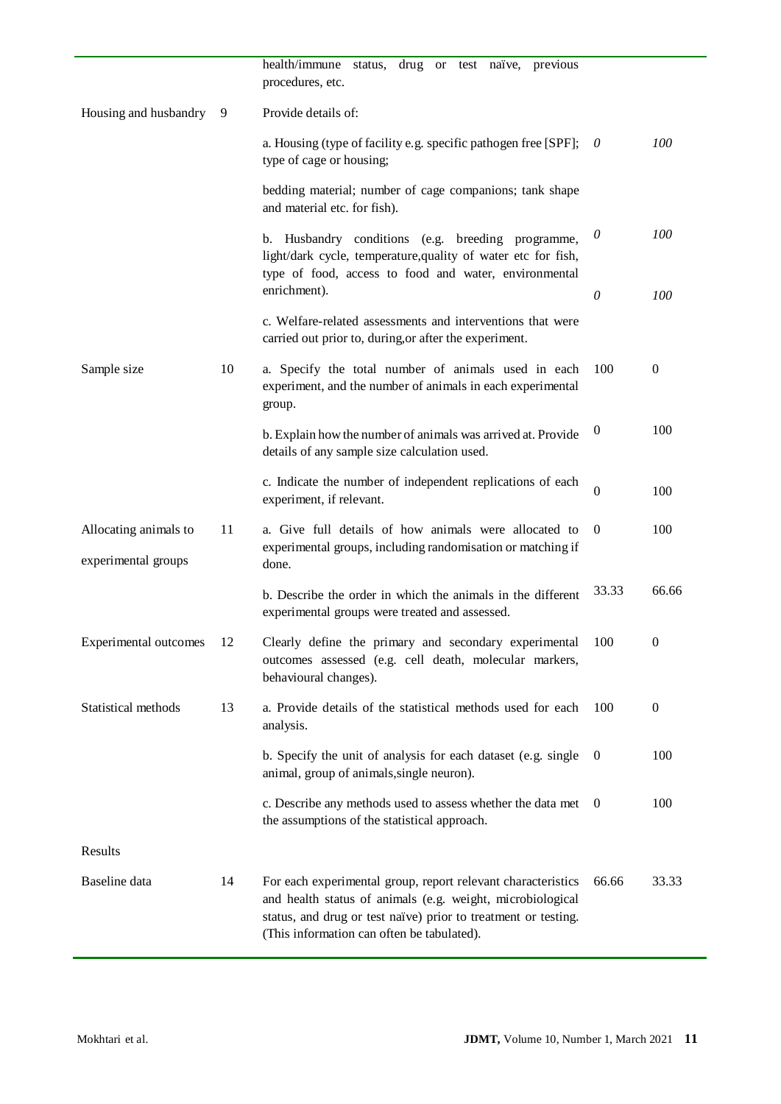|                                              |    | health/immune status, drug or test naïve, previous<br>procedures, etc.                                                                                                                                                                     |                  |                  |
|----------------------------------------------|----|--------------------------------------------------------------------------------------------------------------------------------------------------------------------------------------------------------------------------------------------|------------------|------------------|
| Housing and husbandry                        | 9  | Provide details of:                                                                                                                                                                                                                        |                  |                  |
|                                              |    | a. Housing (type of facility e.g. specific pathogen free [SPF];<br>type of cage or housing;                                                                                                                                                | $\theta$         | 100              |
|                                              |    | bedding material; number of cage companions; tank shape<br>and material etc. for fish).                                                                                                                                                    |                  |                  |
|                                              |    | b. Husbandry conditions (e.g. breeding programme,<br>light/dark cycle, temperature, quality of water etc for fish,<br>type of food, access to food and water, environmental<br>enrichment).                                                | 0<br>$\theta$    | 100<br>100       |
|                                              |    | c. Welfare-related assessments and interventions that were<br>carried out prior to, during, or after the experiment.                                                                                                                       |                  |                  |
| Sample size                                  | 10 | a. Specify the total number of animals used in each<br>experiment, and the number of animals in each experimental<br>group.                                                                                                                | 100              | $\overline{0}$   |
|                                              |    | b. Explain how the number of animals was arrived at. Provide<br>details of any sample size calculation used.                                                                                                                               | $\boldsymbol{0}$ | 100              |
|                                              |    | c. Indicate the number of independent replications of each<br>experiment, if relevant.                                                                                                                                                     | $\mathbf{0}$     | 100              |
| Allocating animals to<br>experimental groups | 11 | a. Give full details of how animals were allocated to<br>experimental groups, including randomisation or matching if<br>done.                                                                                                              | $\overline{0}$   | 100              |
|                                              |    | b. Describe the order in which the animals in the different<br>experimental groups were treated and assessed.                                                                                                                              | 33.33            | 66.66            |
| Experimental outcomes                        | 12 | Clearly define the primary and secondary experimental<br>outcomes assessed (e.g. cell death, molecular markers,<br>behavioural changes).                                                                                                   | 100              | $\boldsymbol{0}$ |
| Statistical methods                          | 13 | a. Provide details of the statistical methods used for each<br>analysis.                                                                                                                                                                   | 100              | $\theta$         |
|                                              |    | b. Specify the unit of analysis for each dataset (e.g. single<br>animal, group of animals, single neuron).                                                                                                                                 | $\theta$         | 100              |
|                                              |    | c. Describe any methods used to assess whether the data met<br>the assumptions of the statistical approach.                                                                                                                                | $\theta$         | 100              |
| Results                                      |    |                                                                                                                                                                                                                                            |                  |                  |
| Baseline data                                | 14 | For each experimental group, report relevant characteristics<br>and health status of animals (e.g. weight, microbiological<br>status, and drug or test naïve) prior to treatment or testing.<br>(This information can often be tabulated). | 66.66            | 33.33            |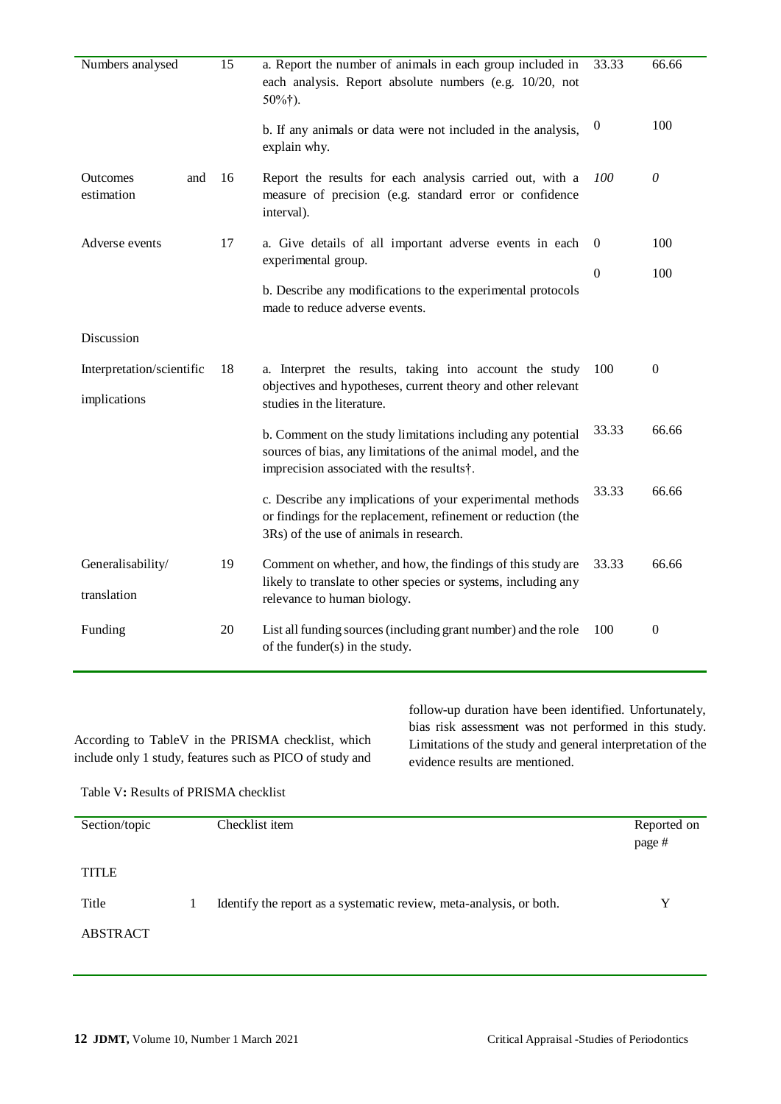| Numbers analysed                          | 15 | a. Report the number of animals in each group included in<br>each analysis. Report absolute numbers (e.g. 10/20, not<br>$50\%$ †).                                        | 33.33            | 66.66          |
|-------------------------------------------|----|---------------------------------------------------------------------------------------------------------------------------------------------------------------------------|------------------|----------------|
|                                           |    | b. If any animals or data were not included in the analysis,<br>explain why.                                                                                              | $\boldsymbol{0}$ | 100            |
| <b>Outcomes</b><br>and<br>estimation      | 16 | Report the results for each analysis carried out, with a<br>measure of precision (e.g. standard error or confidence<br>interval).                                         | 100              | $\theta$       |
| Adverse events<br>17                      |    | a. Give details of all important adverse events in each<br>experimental group.                                                                                            | $\theta$         | 100            |
|                                           |    | b. Describe any modifications to the experimental protocols<br>made to reduce adverse events.                                                                             | $\boldsymbol{0}$ | 100            |
| Discussion                                |    |                                                                                                                                                                           |                  |                |
| Interpretation/scientific<br>implications | 18 | a. Interpret the results, taking into account the study<br>objectives and hypotheses, current theory and other relevant<br>studies in the literature.                     | 100              | $\Omega$       |
|                                           |    | b. Comment on the study limitations including any potential<br>sources of bias, any limitations of the animal model, and the<br>imprecision associated with the results†. | 33.33            | 66.66          |
|                                           |    | c. Describe any implications of your experimental methods<br>or findings for the replacement, refinement or reduction (the<br>3Rs) of the use of animals in research.     | 33.33            | 66.66          |
| Generalisability/<br>translation          | 19 | Comment on whether, and how, the findings of this study are<br>likely to translate to other species or systems, including any<br>relevance to human biology.              | 33.33            | 66.66          |
| Funding                                   | 20 | List all funding sources (including grant number) and the role<br>of the funder(s) in the study.                                                                          | 100              | $\overline{0}$ |

According to TableV in the PRISMA checklist, which include only 1 study, features such as PICO of study and follow-up duration have been identified. Unfortunately, bias risk assessment was not performed in this study. Limitations of the study and general interpretation of the evidence results are mentioned.

Table V**:** Results of PRISMA checklist

| Section/topic   | Checklist item                                                      | Reported on<br>page # |
|-----------------|---------------------------------------------------------------------|-----------------------|
| <b>TITLE</b>    |                                                                     |                       |
| Title           | Identify the report as a systematic review, meta-analysis, or both. | Y                     |
| <b>ABSTRACT</b> |                                                                     |                       |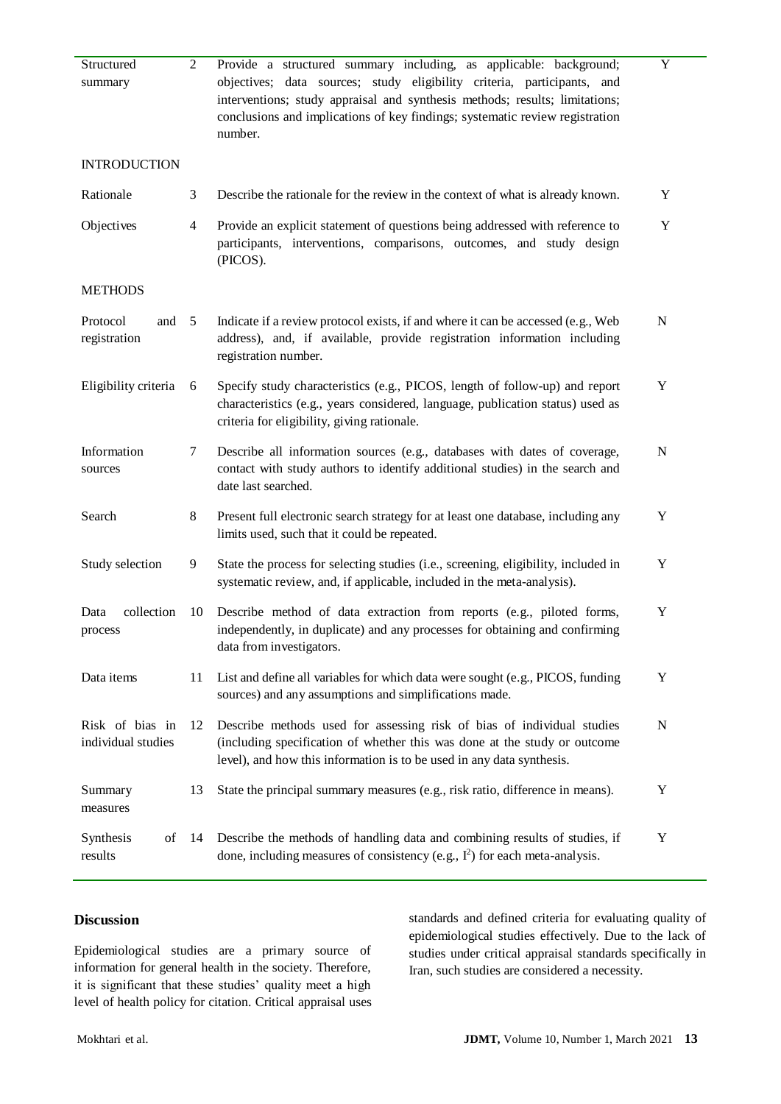| Structured<br>summary                 | $\overline{2}$ | Provide a structured summary including, as applicable: background;<br>objectives; data sources; study eligibility criteria, participants, and<br>interventions; study appraisal and synthesis methods; results; limitations;<br>conclusions and implications of key findings; systematic review registration<br>number. | $\overline{Y}$ |
|---------------------------------------|----------------|-------------------------------------------------------------------------------------------------------------------------------------------------------------------------------------------------------------------------------------------------------------------------------------------------------------------------|----------------|
| <b>INTRODUCTION</b>                   |                |                                                                                                                                                                                                                                                                                                                         |                |
| Rationale                             | 3              | Describe the rationale for the review in the context of what is already known.                                                                                                                                                                                                                                          | Y              |
| Objectives                            | 4              | Provide an explicit statement of questions being addressed with reference to<br>participants, interventions, comparisons, outcomes, and study design<br>(PICOS).                                                                                                                                                        | Y              |
| <b>METHODS</b>                        |                |                                                                                                                                                                                                                                                                                                                         |                |
| Protocol<br>and<br>registration       | 5              | Indicate if a review protocol exists, if and where it can be accessed (e.g., Web<br>address), and, if available, provide registration information including<br>registration number.                                                                                                                                     | N              |
| Eligibility criteria                  | 6              | Specify study characteristics (e.g., PICOS, length of follow-up) and report<br>characteristics (e.g., years considered, language, publication status) used as<br>criteria for eligibility, giving rationale.                                                                                                            | Y              |
| Information<br>sources                | 7              | Describe all information sources (e.g., databases with dates of coverage,<br>contact with study authors to identify additional studies) in the search and<br>date last searched.                                                                                                                                        | N              |
| Search                                | 8              | Present full electronic search strategy for at least one database, including any<br>limits used, such that it could be repeated.                                                                                                                                                                                        | Y              |
| Study selection                       | 9              | State the process for selecting studies (i.e., screening, eligibility, included in<br>systematic review, and, if applicable, included in the meta-analysis).                                                                                                                                                            | Y              |
| collection<br>Data<br>process         | 10             | Describe method of data extraction from reports (e.g., piloted forms,<br>independently, in duplicate) and any processes for obtaining and confirming<br>data from investigators.                                                                                                                                        | Y              |
| Data items                            | 11             | List and define all variables for which data were sought (e.g., PICOS, funding<br>sources) and any assumptions and simplifications made.                                                                                                                                                                                | Y              |
| Risk of bias in<br>individual studies | 12             | Describe methods used for assessing risk of bias of individual studies<br>(including specification of whether this was done at the study or outcome<br>level), and how this information is to be used in any data synthesis.                                                                                            | N              |
| Summary<br>measures                   | 13             | State the principal summary measures (e.g., risk ratio, difference in means).                                                                                                                                                                                                                                           | Y              |
| Synthesis<br>of<br>results            | 14             | Describe the methods of handling data and combining results of studies, if<br>done, including measures of consistency (e.g., $I^2$ ) for each meta-analysis.                                                                                                                                                            | Y              |

# **Discussion**

Epidemiological studies are a primary source of information for general health in the society. Therefore, it is significant that these studies' quality meet a high level of health policy for citation. Critical appraisal uses

standards and defined criteria for evaluating quality of epidemiological studies effectively. Due to the lack of studies under critical appraisal standards specifically in Iran, such studies are considered a necessity.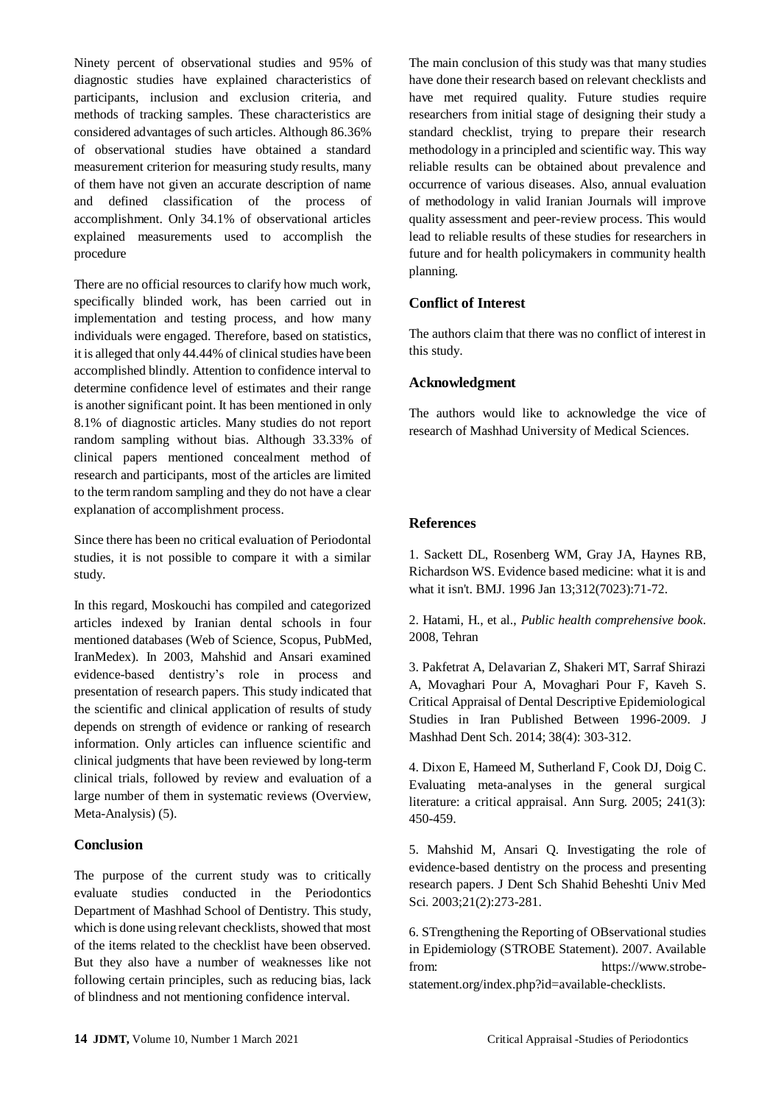Ninety percent of observational studies and 95% of diagnostic studies have explained characteristics of participants, inclusion and exclusion criteria, and methods of tracking samples. These characteristics are considered advantages of such articles. Although 86.36% of observational studies have obtained a standard measurement criterion for measuring study results, many of them have not given an accurate description of name and defined classification of the process of accomplishment. Only 34.1% of observational articles explained measurements used to accomplish the procedure

There are no official resources to clarify how much work, specifically blinded work, has been carried out in implementation and testing process, and how many individuals were engaged. Therefore, based on statistics, it is alleged that only 44.44% of clinical studies have been accomplished blindly. Attention to confidence interval to determine confidence level of estimates and their range is another significant point. It has been mentioned in only 8.1% of diagnostic articles. Many studies do not report random sampling without bias. Although 33.33% of clinical papers mentioned concealment method of research and participants, most of the articles are limited to the term random sampling and they do not have a clear explanation of accomplishment process.

Since there has been no critical evaluation of Periodontal studies, it is not possible to compare it with a similar study.

In this regard, Moskouchi has compiled and categorized articles indexed by Iranian dental schools in four mentioned databases (Web of Science, Scopus, PubMed, IranMedex). In 2003, Mahshid and Ansari examined evidence-based dentistry's role in process and presentation of research papers. This study indicated that the scientific and clinical application of results of study depends on strength of evidence or ranking of research information. Only articles can influence scientific and clinical judgments that have been reviewed by long-term clinical trials, followed by review and evaluation of a large number of them in systematic reviews (Overview, Meta-Analysis) (5).

## **Conclusion**

The purpose of the current study was to critically evaluate studies conducted in the Periodontics Department of Mashhad School of Dentistry. This study, which is done using relevant checklists, showed that most of the items related to the checklist have been observed. But they also have a number of weaknesses like not following certain principles, such as reducing bias, lack of blindness and not mentioning confidence interval.

The main conclusion of this study was that many studies have done their research based on relevant checklists and have met required quality. Future studies require researchers from initial stage of designing their study a standard checklist, trying to prepare their research methodology in a principled and scientific way. This way reliable results can be obtained about prevalence and occurrence of various diseases. Also, annual evaluation of methodology in valid Iranian Journals will improve quality assessment and peer-review process. This would lead to reliable results of these studies for researchers in future and for health policymakers in community health planning.

# **Conflict of Interest**

The authors claim that there was no conflict of interest in this study.

## **Acknowledgment**

The authors would like to acknowledge the vice of research of Mashhad University of Medical Sciences.

# **References**

1. Sackett DL, Rosenberg WM, Gray JA, Haynes RB, Richardson WS. Evidence based medicine: what it is and what it isn't. BMJ. 1996 Jan 13;312(7023):71-72.

2. Hatami, H., et al., *Public health comprehensive book*. 2008, Tehran

3. Pakfetrat A, Delavarian Z, Shakeri MT, Sarraf Shirazi A, Movaghari Pour A, Movaghari Pour F, Kaveh S. Critical Appraisal of Dental Descriptive Epidemiological Studies in Iran Published Between 1996-2009. J Mashhad Dent Sch. 2014; 38(4): 303-312.

4. Dixon E, Hameed M, Sutherland F, Cook DJ, Doig C. Evaluating meta-analyses in the general surgical literature: a critical appraisal. Ann Surg. 2005; 241(3): 450-459.

5. Mahshid M, Ansari Q. Investigating the role of evidence-based dentistry on the process and presenting research papers. J Dent Sch Shahid Beheshti Univ Med Sci. 2003;21(2):273-281.

6. STrengthening the Reporting of OBservational studies in Epidemiology (STROBE Statement). 2007. Available from: https://www.strobestatement.org/index.php?id=available-checklists.